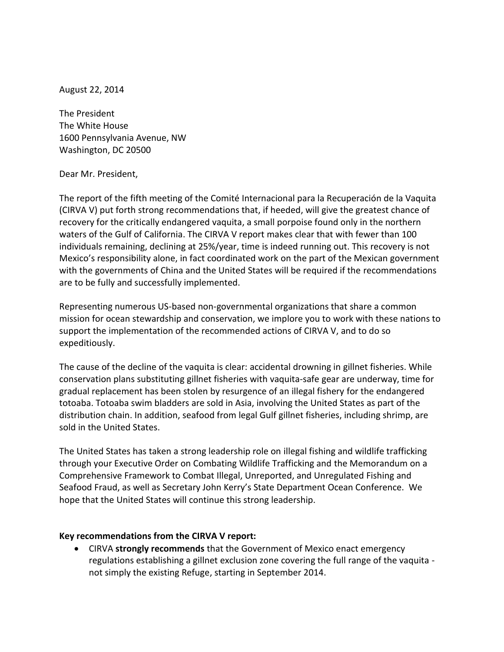August 22, 2014

The President The White House 1600 Pennsylvania Avenue, NW Washington, DC 20500

## Dear Mr. President,

The report of the fifth meeting of the Comité Internacional para la Recuperación de la Vaquita (CIRVA V) put forth strong recommendations that, if heeded, will give the greatest chance of recovery for the critically endangered vaquita, a small porpoise found only in the northern waters of the Gulf of California. The CIRVA V report makes clear that with fewer than 100 individuals remaining, declining at 25%/year, time is indeed running out. This recovery is not Mexico's responsibility alone, in fact coordinated work on the part of the Mexican government with the governments of China and the United States will be required if the recommendations are to be fully and successfully implemented.

Representing numerous US-based non-governmental organizations that share a common mission for ocean stewardship and conservation, we implore you to work with these nations to support the implementation of the recommended actions of CIRVA V, and to do so expeditiously.

The cause of the decline of the vaquita is clear: accidental drowning in gillnet fisheries. While conservation plans substituting gillnet fisheries with vaquita-safe gear are underway, time for gradual replacement has been stolen by resurgence of an illegal fishery for the endangered totoaba. Totoaba swim bladders are sold in Asia, involving the United States as part of the distribution chain. In addition, seafood from legal Gulf gillnet fisheries, including shrimp, are sold in the United States.

The United States has taken a strong leadership role on illegal fishing and wildlife trafficking through your Executive Order on Combating Wildlife Trafficking and the Memorandum on a Comprehensive Framework to Combat Illegal, Unreported, and Unregulated Fishing and Seafood Fraud, as well as Secretary John Kerry's State Department Ocean Conference. We hope that the United States will continue this strong leadership.

## **Key recommendations from the CIRVA V report:**

 CIRVA **strongly recommends** that the Government of Mexico enact emergency regulations establishing a gillnet exclusion zone covering the full range of the vaquita not simply the existing Refuge, starting in September 2014.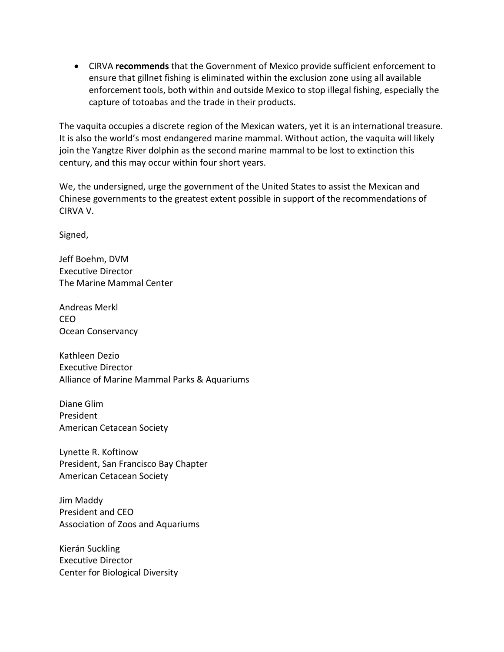CIRVA **recommends** that the Government of Mexico provide sufficient enforcement to ensure that gillnet fishing is eliminated within the exclusion zone using all available enforcement tools, both within and outside Mexico to stop illegal fishing, especially the capture of totoabas and the trade in their products.

The vaquita occupies a discrete region of the Mexican waters, yet it is an international treasure. It is also the world's most endangered marine mammal. Without action, the vaquita will likely join the Yangtze River dolphin as the second marine mammal to be lost to extinction this century, and this may occur within four short years.

We, the undersigned, urge the government of the United States to assist the Mexican and Chinese governments to the greatest extent possible in support of the recommendations of CIRVA V.

Signed,

Jeff Boehm, DVM Executive Director The Marine Mammal Center

Andreas Merkl CEO Ocean Conservancy

Kathleen Dezio Executive Director Alliance of Marine Mammal Parks & Aquariums

Diane Glim President American Cetacean Society

Lynette R. Koftinow President, San Francisco Bay Chapter American Cetacean Society

Jim Maddy President and CEO Association of Zoos and Aquariums

Kierán Suckling Executive Director Center for Biological Diversity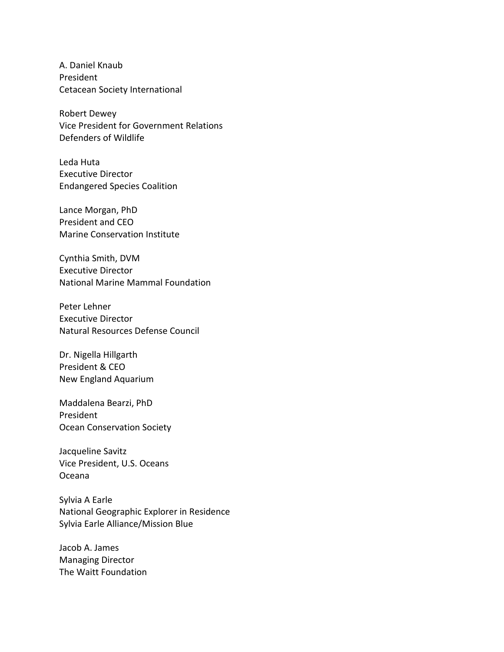A. Daniel Knaub President Cetacean Society [International](http://search.tb.ask.com/search/redirect.jhtml?action=pick&ct=GD&qs=&searchfor=cetacean+society+international&cb=UX&pg=GGmain&p2=%5EUX%5Exdm297%5EYYA%5Eus&qid=cc4c908488e743f6b9638ef0f94ebc4d&n=780b5db4&ss=sub&pn=1&st=kwd&ptb=696C122E-E172-4654-B214-1C375D5B30A9&tpr=&si=49588&redirect=mPWsrdz9heamc8iHEhldEWaDcsFN8Rq%2FoU5WKziEm0ocyXlk61nhOGfFjL2QRrty&ord=0&)

Robert Dewey Vice President for Government Relations Defenders of Wildlife

Leda Huta Executive Director Endangered Species Coalition

Lance Morgan, PhD President and CEO Marine Conservation Institute

Cynthia Smith, DVM Executive Director National Marine Mammal Foundation

Peter Lehner Executive Director Natural Resources Defense Council

Dr. Nigella Hillgarth President & CEO New England Aquarium

Maddalena Bearzi, PhD President Ocean Conservation Society

Jacqueline Savitz Vice President, U.S. Oceans Oceana

Sylvia A Earle National Geographic Explorer in Residence Sylvia Earle Alliance/Mission Blue

Jacob A. James Managing Director The Waitt Foundation